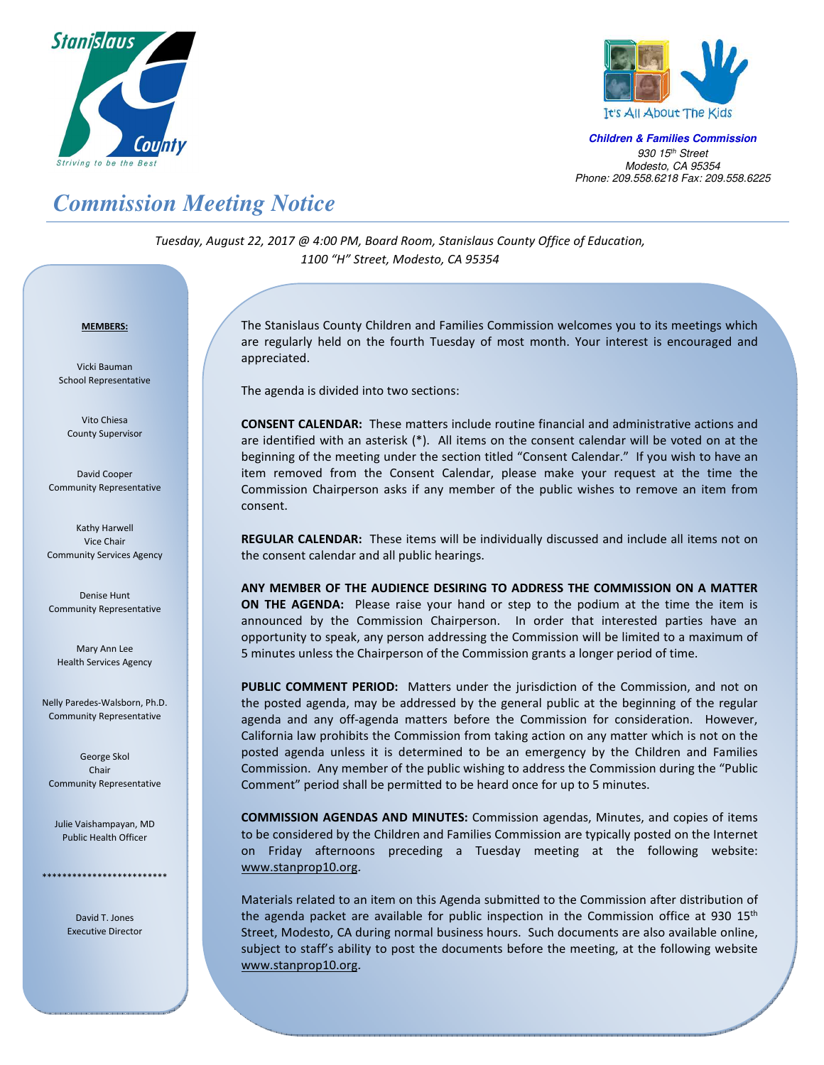



**Children & Families Commission**  *930 15th Street Modesto, CA 95354 Phone: 209.558.6218 Fax: 209.558.6225*

## *Commission Meeting Notice*

*Tuesday, August 22, 2017 @ 4:00 PM, Board Room, Stanislaus County Office of Education, 1100 "H" Street, Modesto, CA 95354*

## <sup>U</sup>**MEMBERS:**

Vicki Bauman School Representative

Vito Chiesa County Supervisor

David Cooper Community Representative

Kathy Harwell Vice Chair Community Services Agency

Denise Hunt Community Representative

Mary Ann Lee Health Services Agency

Nelly Paredes-Walsborn, Ph.D. Community Representative

George Skol Chair Community Representative

Julie Vaishampayan, MD Public Health Officer

\*\*\*\*\*\*\*\*\*\*\*\*\*\*\*\*\*\*\*

David T. Jones Executive Director

The Stanislaus County Children and Families Commission welcomes you to its meetings which are regularly held on the fourth Tuesday of most month. Your interest is encouraged and appreciated.

The agenda is divided into two sections:

**CONSENT CALENDAR:** These matters include routine financial and administrative actions and are identified with an asterisk (\*). All items on the consent calendar will be voted on at the beginning of the meeting under the section titled "Consent Calendar." If you wish to have an item removed from the Consent Calendar, please make your request at the time the Commission Chairperson asks if any member of the public wishes to remove an item from consent.

**REGULAR CALENDAR:** These items will be individually discussed and include all items not on the consent calendar and all public hearings.

**ANY MEMBER OF THE AUDIENCE DESIRING TO ADDRESS THE COMMISSION ON A MATTER ON THE AGENDA:** Please raise your hand or step to the podium at the time the item is announced by the Commission Chairperson. In order that interested parties have an opportunity to speak, any person addressing the Commission will be limited to a maximum of 5 minutes unless the Chairperson of the Commission grants a longer period of time.

**PUBLIC COMMENT PERIOD:** Matters under the jurisdiction of the Commission, and not on the posted agenda, may be addressed by the general public at the beginning of the regular agenda and any off-agenda matters before the Commission for consideration. However, California law prohibits the Commission from taking action on any matter which is not on the posted agenda unless it is determined to be an emergency by the Children and Families Commission. Any member of the public wishing to address the Commission during the "Public Comment" period shall be permitted to be heard once for up to 5 minutes.

**COMMISSION AGENDAS AND MINUTES:** Commission agendas, Minutes, and copies of items to be considered by the Children and Families Commission are typically posted on the Internet on Friday afternoons preceding a Tuesday meeting at the following website: www.stanprop10.org.

Materials related to an item on this Agenda submitted to the Commission after distribution of the agenda packet are available for public inspection in the Commission office at 930  $15<sup>th</sup>$ Street, Modesto, CA during normal business hours. Such documents are also available online, subject to staff's ability to post the documents before the meeting, at the following website www.stanprop10.org.